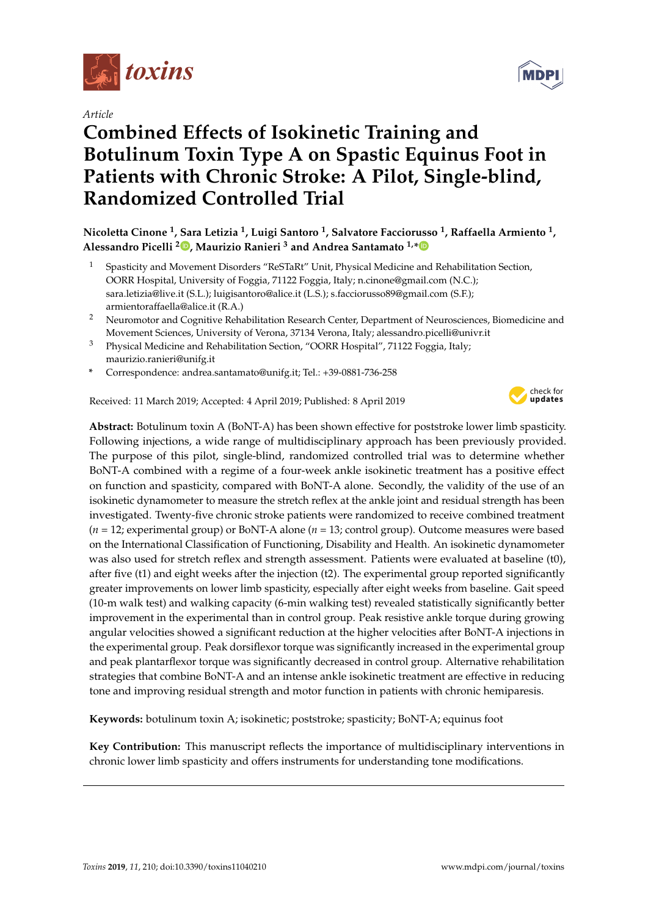

*Article*

# **Combined Effects of Isokinetic Training and Botulinum Toxin Type A on Spastic Equinus Foot in Patients with Chronic Stroke: A Pilot, Single-blind, Randomized Controlled Trial**

**Nicoletta Cinone <sup>1</sup> , Sara Letizia <sup>1</sup> , Luigi Santoro <sup>1</sup> , Salvatore Facciorusso <sup>1</sup> , Raffaella Armiento <sup>1</sup> , Alessandro Picelli <sup>2</sup> [,](https://orcid.org/0000-0002-3558-8276) Maurizio Ranieri <sup>3</sup> and Andrea Santamato 1,[\\*](https://orcid.org/0000-0002-1452-8485)**

- <sup>1</sup> Spasticity and Movement Disorders "ReSTaRt" Unit, Physical Medicine and Rehabilitation Section, OORR Hospital, University of Foggia, 71122 Foggia, Italy; n.cinone@gmail.com (N.C.); sara.letizia@live.it (S.L.); luigisantoro@alice.it (L.S.); s.facciorusso89@gmail.com (S.F.); armientoraffaella@alice.it (R.A.)
- <sup>2</sup> Neuromotor and Cognitive Rehabilitation Research Center, Department of Neurosciences, Biomedicine and Movement Sciences, University of Verona, 37134 Verona, Italy; alessandro.picelli@univr.it
- <sup>3</sup> Physical Medicine and Rehabilitation Section, "OORR Hospital", 71122 Foggia, Italy; maurizio.ranieri@unifg.it
- **\*** Correspondence: andrea.santamato@unifg.it; Tel.: +39-0881-736-258

Received: 11 March 2019; Accepted: 4 April 2019; Published: 8 April 2019



**Abstract:** Botulinum toxin A (BoNT-A) has been shown effective for poststroke lower limb spasticity. Following injections, a wide range of multidisciplinary approach has been previously provided. The purpose of this pilot, single-blind, randomized controlled trial was to determine whether BoNT-A combined with a regime of a four-week ankle isokinetic treatment has a positive effect on function and spasticity, compared with BoNT-A alone. Secondly, the validity of the use of an isokinetic dynamometer to measure the stretch reflex at the ankle joint and residual strength has been investigated. Twenty-five chronic stroke patients were randomized to receive combined treatment (*n* = 12; experimental group) or BoNT-A alone (*n* = 13; control group). Outcome measures were based on the International Classification of Functioning, Disability and Health. An isokinetic dynamometer was also used for stretch reflex and strength assessment. Patients were evaluated at baseline (t0), after five (t1) and eight weeks after the injection (t2). The experimental group reported significantly greater improvements on lower limb spasticity, especially after eight weeks from baseline. Gait speed (10-m walk test) and walking capacity (6-min walking test) revealed statistically significantly better improvement in the experimental than in control group. Peak resistive ankle torque during growing angular velocities showed a significant reduction at the higher velocities after BoNT-A injections in the experimental group. Peak dorsiflexor torque was significantly increased in the experimental group and peak plantarflexor torque was significantly decreased in control group. Alternative rehabilitation strategies that combine BoNT-A and an intense ankle isokinetic treatment are effective in reducing tone and improving residual strength and motor function in patients with chronic hemiparesis.

**Keywords:** botulinum toxin A; isokinetic; poststroke; spasticity; BoNT-A; equinus foot

**Key Contribution:** This manuscript reflects the importance of multidisciplinary interventions in chronic lower limb spasticity and offers instruments for understanding tone modifications.

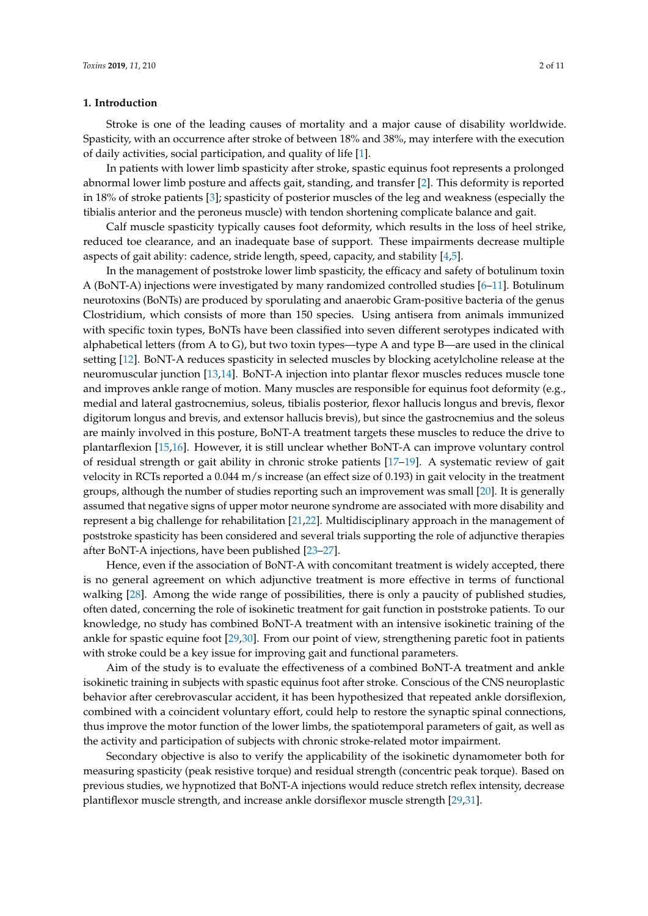#### **1. Introduction**

Stroke is one of the leading causes of mortality and a major cause of disability worldwide. Spasticity, with an occurrence after stroke of between 18% and 38%, may interfere with the execution of daily activities, social participation, and quality of life [\[1\]](#page-7-0).

In patients with lower limb spasticity after stroke, spastic equinus foot represents a prolonged abnormal lower limb posture and affects gait, standing, and transfer [\[2\]](#page-7-1). This deformity is reported in 18% of stroke patients [\[3\]](#page-7-2); spasticity of posterior muscles of the leg and weakness (especially the tibialis anterior and the peroneus muscle) with tendon shortening complicate balance and gait.

Calf muscle spasticity typically causes foot deformity, which results in the loss of heel strike, reduced toe clearance, and an inadequate base of support. These impairments decrease multiple aspects of gait ability: cadence, stride length, speed, capacity, and stability [\[4,](#page-7-3)[5\]](#page-7-4).

In the management of poststroke lower limb spasticity, the efficacy and safety of botulinum toxin A (BoNT-A) injections were investigated by many randomized controlled studies [\[6](#page-7-5)[–11\]](#page-7-6). Botulinum neurotoxins (BoNTs) are produced by sporulating and anaerobic Gram-positive bacteria of the genus Clostridium, which consists of more than 150 species. Using antisera from animals immunized with specific toxin types, BoNTs have been classified into seven different serotypes indicated with alphabetical letters (from A to G), but two toxin types—type A and type B—are used in the clinical setting [\[12\]](#page-7-7). BoNT-A reduces spasticity in selected muscles by blocking acetylcholine release at the neuromuscular junction [\[13](#page-7-8)[,14\]](#page-8-0). BoNT-A injection into plantar flexor muscles reduces muscle tone and improves ankle range of motion. Many muscles are responsible for equinus foot deformity (e.g., medial and lateral gastrocnemius, soleus, tibialis posterior, flexor hallucis longus and brevis, flexor digitorum longus and brevis, and extensor hallucis brevis), but since the gastrocnemius and the soleus are mainly involved in this posture, BoNT-A treatment targets these muscles to reduce the drive to plantarflexion [\[15,](#page-8-1)[16\]](#page-8-2). However, it is still unclear whether BoNT-A can improve voluntary control of residual strength or gait ability in chronic stroke patients [\[17–](#page-8-3)[19\]](#page-8-4). A systematic review of gait velocity in RCTs reported a 0.044 m/s increase (an effect size of 0.193) in gait velocity in the treatment groups, although the number of studies reporting such an improvement was small [\[20\]](#page-8-5). It is generally assumed that negative signs of upper motor neurone syndrome are associated with more disability and represent a big challenge for rehabilitation [\[21,](#page-8-6)[22\]](#page-8-7). Multidisciplinary approach in the management of poststroke spasticity has been considered and several trials supporting the role of adjunctive therapies after BoNT-A injections, have been published [\[23–](#page-8-8)[27\]](#page-8-9).

Hence, even if the association of BoNT-A with concomitant treatment is widely accepted, there is no general agreement on which adjunctive treatment is more effective in terms of functional walking [\[28\]](#page-8-10). Among the wide range of possibilities, there is only a paucity of published studies, often dated, concerning the role of isokinetic treatment for gait function in poststroke patients. To our knowledge, no study has combined BoNT-A treatment with an intensive isokinetic training of the ankle for spastic equine foot [\[29](#page-8-11)[,30\]](#page-8-12). From our point of view, strengthening paretic foot in patients with stroke could be a key issue for improving gait and functional parameters.

Aim of the study is to evaluate the effectiveness of a combined BoNT-A treatment and ankle isokinetic training in subjects with spastic equinus foot after stroke. Conscious of the CNS neuroplastic behavior after cerebrovascular accident, it has been hypothesized that repeated ankle dorsiflexion, combined with a coincident voluntary effort, could help to restore the synaptic spinal connections, thus improve the motor function of the lower limbs, the spatiotemporal parameters of gait, as well as the activity and participation of subjects with chronic stroke-related motor impairment.

Secondary objective is also to verify the applicability of the isokinetic dynamometer both for measuring spasticity (peak resistive torque) and residual strength (concentric peak torque). Based on previous studies, we hypnotized that BoNT-A injections would reduce stretch reflex intensity, decrease plantiflexor muscle strength, and increase ankle dorsiflexor muscle strength [\[29](#page-8-11)[,31\]](#page-8-13).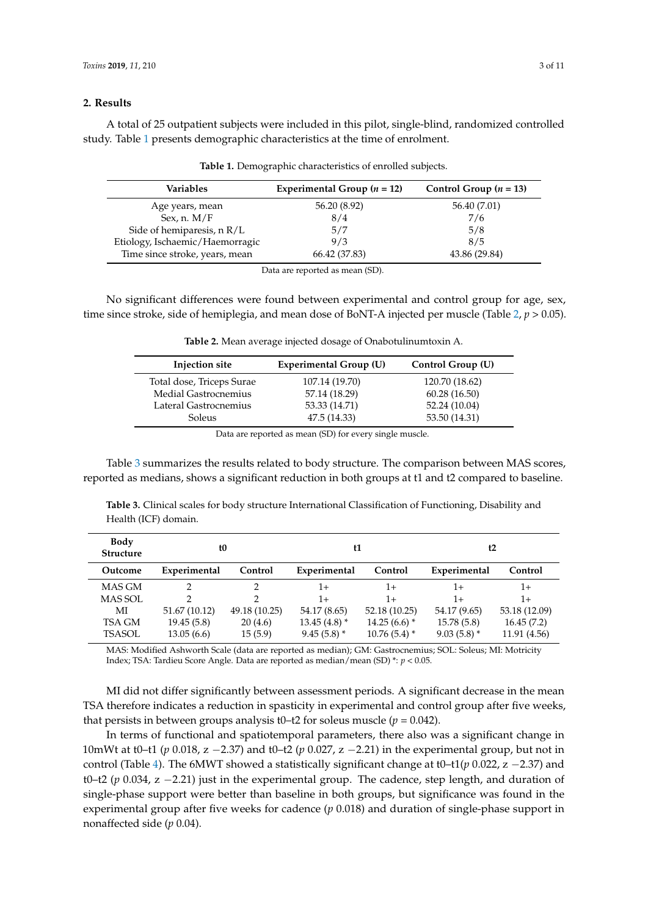### **2. Results**

<span id="page-2-0"></span>A total of 25 outpatient subjects were included in this pilot, single-blind, randomized controlled study. Table [1](#page-2-0) presents demographic characteristics at the time of enrolment.

| Variables                       | Experimental Group $(n = 12)$ | Control Group $(n = 13)$ |  |
|---------------------------------|-------------------------------|--------------------------|--|
| Age years, mean                 | 56.20 (8.92)                  | 56.40 (7.01)             |  |
| Sex, n. $M/F$                   | 8/4                           | 7/6                      |  |
| Side of hemiparesis, n R/L      | 5/7                           | 5/8                      |  |
| Etiology, Ischaemic/Haemorragic | 9/3                           | 8/5                      |  |
| Time since stroke, years, mean  | 66.42 (37.83)                 | 43.86 (29.84)            |  |

**Table 1.** Demographic characteristics of enrolled subjects.

Data are reported as mean (SD).

<span id="page-2-1"></span>No significant differences were found between experimental and control group for age, sex, time since stroke, side of hemiplegia, and mean dose of BoNT-A injected per muscle (Table [2,](#page-2-1) *p* > 0.05).

| Injection site            | Experimental Group (U) | Control Group (U) |
|---------------------------|------------------------|-------------------|
| Total dose, Triceps Surae | 107.14 (19.70)         | 120.70 (18.62)    |
| Medial Gastrocnemius      | 57.14 (18.29)          | 60.28(16.50)      |
| Lateral Gastrocnemius     | 53.33 (14.71)          | 52.24 (10.04)     |
| Soleus                    | 47.5 (14.33)           | 53.50 (14.31)     |
|                           | $\sim$ $\sim$ $\sim$   |                   |

**Table 2.** Mean average injected dosage of Onabotulinumtoxin A.

Data are reported as mean (SD) for every single muscle.

Table [3](#page-2-2) summarizes the results related to body structure. The comparison between MAS scores, reported as medians, shows a significant reduction in both groups at t1 and t2 compared to baseline.

<span id="page-2-2"></span>**Table 3.** Clinical scales for body structure International Classification of Functioning, Disability and Health (ICF) domain.

| Body<br><b>Structure</b> | t <sub>0</sub> |               | t1             |                | t2            |               |
|--------------------------|----------------|---------------|----------------|----------------|---------------|---------------|
| Outcome                  | Experimental   | Control       | Experimental   | Control        | Experimental  | Control       |
| MAS GM                   | C              |               | 1+             | 1+             | 1+            | 1+            |
| <b>MAS SOL</b>           | っ              | 2             | $1+$           | $1+$           | $1+$          | $1 +$         |
| МI                       | 51.67 (10.12)  | 49.18 (10.25) | 54.17 (8.65)   | 52.18 (10.25)  | 54.17 (9.65)  | 53.18 (12.09) |
| TSA GM                   | 19.45(5.8)     | 20(4.6)       | $13.45(4.8)$ * | $14.25(6.6)$ * | 15.78 (5.8)   | 16.45(7.2)    |
| <b>TSASOL</b>            | 13.05(6.6)     | 15(5.9)       | $9.45(5.8)$ *  | $10.76(5.4)$ * | $9.03(5.8)$ * | 11.91 (4.56)  |

MAS: Modified Ashworth Scale (data are reported as median); GM: Gastrocnemius; SOL: Soleus; MI: Motricity Index; TSA: Tardieu Score Angle. Data are reported as median/mean (SD) \*: *p* < 0.05.

MI did not differ significantly between assessment periods. A significant decrease in the mean TSA therefore indicates a reduction in spasticity in experimental and control group after five weeks, that persists in between groups analysis t0–t2 for soleus muscle ( $p = 0.042$ ).

In terms of functional and spatiotemporal parameters, there also was a significant change in 10mWt at t0–t1 (*p* 0.018, z −2.37) and t0–t2 (*p* 0.027, z −2.21) in the experimental group, but not in control (Table [4\)](#page-3-0). The 6MWT showed a statistically significant change at t0–t1(*p* 0.022, z −2.37) and t0–t2 (*p* 0.034, z −2.21) just in the experimental group. The cadence, step length, and duration of single-phase support were better than baseline in both groups, but significance was found in the experimental group after five weeks for cadence (*p* 0.018) and duration of single-phase support in nonaffected side (*p* 0.04).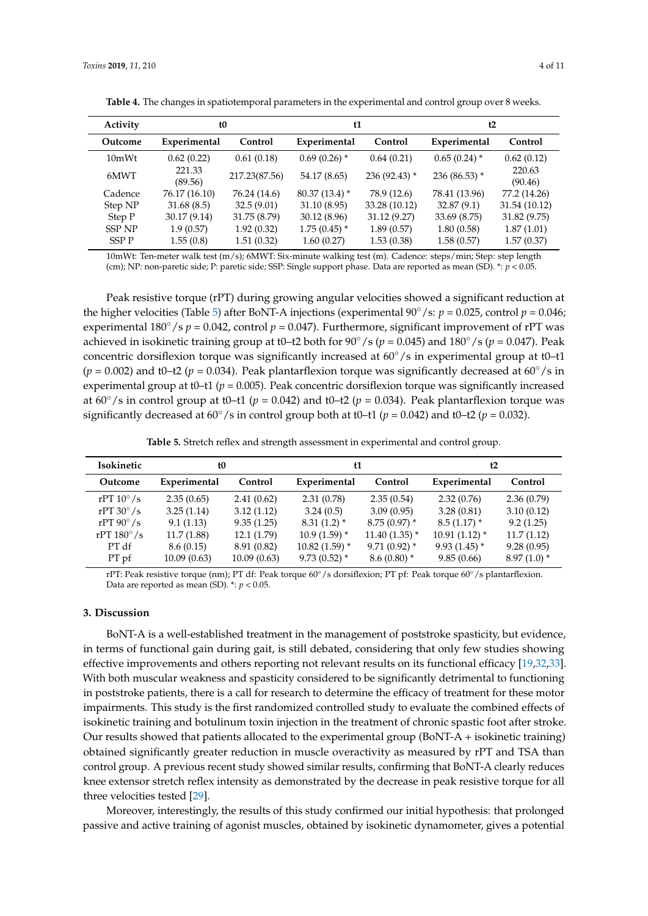| Activity      | t0                |               | t1              |                | t2              |                   |
|---------------|-------------------|---------------|-----------------|----------------|-----------------|-------------------|
| Outcome       | Experimental      | Control       | Experimental    | Control        | Experimental    | Control           |
| 10mWt         | 0.62(0.22)        | 0.61(0.18)    | $0.69(0.26)$ *  | 0.64(0.21)     | $0.65(0.24)$ *  | 0.62(0.12)        |
| 6MWT          | 221.33<br>(89.56) | 217.23(87.56) | 54.17 (8.65)    | $236(92.43)$ * | 236 (86.53) $*$ | 220.63<br>(90.46) |
| Cadence       | 76.17 (16.10)     | 76.24 (14.6)  | $80.37(13.4)$ * | 78.9 (12.6)    | 78.41 (13.96)   | 77.2 (14.26)      |
| Step NP       | 31.68(8.5)        | 32.5(9.01)    | 31.10 (8.95)    | 33.28 (10.12)  | 32.87(9.1)      | 31.54 (10.12)     |
| Step P        | 30.17 (9.14)      | 31.75 (8.79)  | 30.12 (8.96)    | 31.12 (9.27)   | 33.69 (8.75)    | 31.82 (9.75)      |
| <b>SSP NP</b> | 1.9(0.57)         | 1.92(0.32)    | $1.75(0.45)$ *  | 1.89(0.57)     | 1.80(0.58)      | 1.87(1.01)        |
| SSP P         | 1.55(0.8)         | 1.51(0.32)    | 1.60(0.27)      | 1.53(0.38)     | 1.58(0.57)      | 1.57(0.37)        |

<span id="page-3-0"></span>**Table 4.** The changes in spatiotemporal parameters in the experimental and control group over 8 weeks.

10mWt: Ten-meter walk test (m/s); 6MWT: Six-minute walking test (m). Cadence: steps/min; Step: step length (cm); NP: non-paretic side; P: paretic side; SSP: Single support phase. Data are reported as mean (SD). \*: *p* < 0.05.

Peak resistive torque (rPT) during growing angular velocities showed a significant reduction at the higher velocities (Table [5\)](#page-3-1) after BoNT-A injections (experimental  $90^{\circ}/s$ :  $p = 0.025$ , control  $p = 0.046$ ; experimental  $180°/s$  *p* = 0.042, control *p* = 0.047). Furthermore, significant improvement of rPT was achieved in isokinetic training group at t0–t2 both for 90◦/s (*p* = 0.045) and 180◦/s (*p* = 0.047). Peak concentric dorsiflexion torque was significantly increased at  $60°/s$  in experimental group at t0–t1  $(p = 0.002)$  and t0–t2 ( $p = 0.034$ ). Peak plantarflexion torque was significantly decreased at 60<sup>°</sup>/s in experimental group at t0–t1 ( $p = 0.005$ ). Peak concentric dorsiflexion torque was significantly increased at  $60^\circ$ /s in control group at t0–t1 ( $p = 0.042$ ) and t0–t2 ( $p = 0.034$ ). Peak plantarflexion torque was significantly decreased at  $60^\circ$ /s in control group both at t0–t1 ( $p = 0.042$ ) and t0–t2 ( $p = 0.032$ ).

**Table 5.** Stretch reflex and strength assessment in experimental and control group.

<span id="page-3-1"></span>

| Isokinetic          | ŧ0           |             | t1              |                 | t2              |               |
|---------------------|--------------|-------------|-----------------|-----------------|-----------------|---------------|
| Outcome             | Experimental | Control     | Experimental    | Control         | Experimental    | Control       |
| rPT $10^{\circ}/s$  | 2.35(0.65)   | 2.41(0.62)  | 2.31(0.78)      | 2.35(0.54)      | 2.32(0.76)      | 2.36(0.79)    |
| rPT $30^{\circ}/s$  | 3.25(1.14)   | 3.12(1.12)  | 3.24(0.5)       | 3.09(0.95)      | 3.28(0.81)      | 3.10(0.12)    |
| rPT $90^{\circ}/s$  | 9.1(1.13)    | 9.35(1.25)  | $8.31(1.2)$ *   | $8.75(0.97)$ *  | $8.5(1.17)$ *   | 9.2(1.25)     |
| rPT $180^{\circ}/s$ | 11.7(1.88)   | 12.1(1.79)  | $10.9(1.59)$ *  | $11.40(1.35)$ * | $10.91(1.12)$ * | 11.7(1.12)    |
| PT df               | 8.6(0.15)    | 8.91 (0.82) | $10.82(1.59)$ * | $9.71(0.92)$ *  | $9.93(1.45)$ *  | 9.28(0.95)    |
| PT pf               | 10.09(0.63)  | 10.09(0.63) | $9.73(0.52)$ *  | $8.6(0.80)$ *   | 9.85(0.66)      | $8.97(1.0)$ * |

rPT: Peak resistive torque (nm); PT df: Peak torque 60◦/s dorsiflexion; PT pf: Peak torque 60◦/s plantarflexion. Data are reported as mean (SD). \*: *p* < 0.05.

### **3. Discussion**

BoNT-A is a well-established treatment in the management of poststroke spasticity, but evidence, in terms of functional gain during gait, is still debated, considering that only few studies showing effective improvements and others reporting not relevant results on its functional efficacy [\[19,](#page-8-4)[32,](#page-9-0)[33\]](#page-9-1). With both muscular weakness and spasticity considered to be significantly detrimental to functioning in poststroke patients, there is a call for research to determine the efficacy of treatment for these motor impairments. This study is the first randomized controlled study to evaluate the combined effects of isokinetic training and botulinum toxin injection in the treatment of chronic spastic foot after stroke. Our results showed that patients allocated to the experimental group (BoNT-A + isokinetic training) obtained significantly greater reduction in muscle overactivity as measured by rPT and TSA than control group. A previous recent study showed similar results, confirming that BoNT-A clearly reduces knee extensor stretch reflex intensity as demonstrated by the decrease in peak resistive torque for all three velocities tested [\[29\]](#page-8-11).

Moreover, interestingly, the results of this study confirmed our initial hypothesis: that prolonged passive and active training of agonist muscles, obtained by isokinetic dynamometer, gives a potential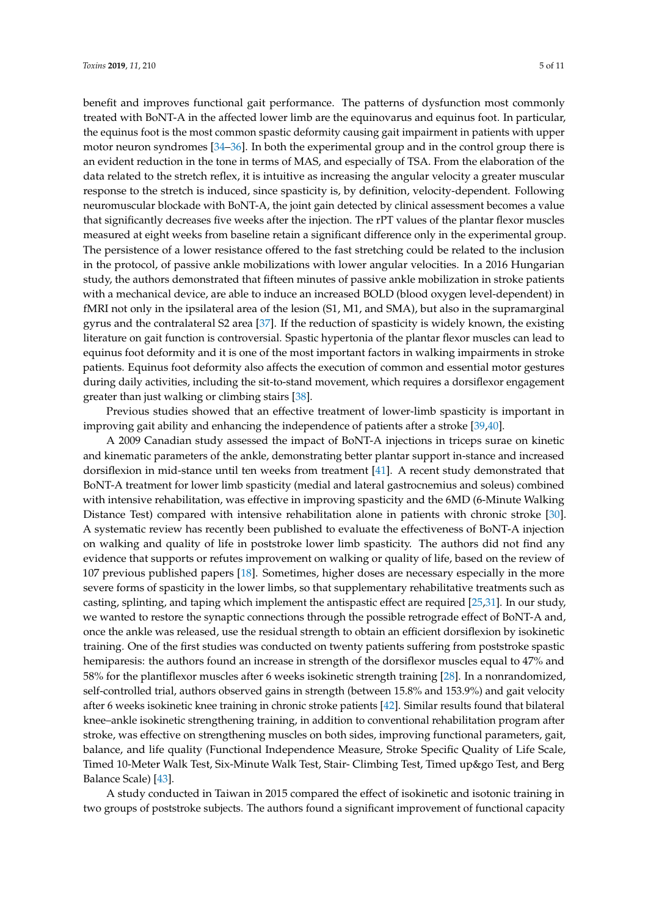benefit and improves functional gait performance. The patterns of dysfunction most commonly treated with BoNT-A in the affected lower limb are the equinovarus and equinus foot. In particular, the equinus foot is the most common spastic deformity causing gait impairment in patients with upper motor neuron syndromes [\[34–](#page-9-2)[36\]](#page-9-3). In both the experimental group and in the control group there is an evident reduction in the tone in terms of MAS, and especially of TSA. From the elaboration of the data related to the stretch reflex, it is intuitive as increasing the angular velocity a greater muscular response to the stretch is induced, since spasticity is, by definition, velocity-dependent. Following neuromuscular blockade with BoNT-A, the joint gain detected by clinical assessment becomes a value that significantly decreases five weeks after the injection. The rPT values of the plantar flexor muscles measured at eight weeks from baseline retain a significant difference only in the experimental group. The persistence of a lower resistance offered to the fast stretching could be related to the inclusion in the protocol, of passive ankle mobilizations with lower angular velocities. In a 2016 Hungarian study, the authors demonstrated that fifteen minutes of passive ankle mobilization in stroke patients with a mechanical device, are able to induce an increased BOLD (blood oxygen level-dependent) in fMRI not only in the ipsilateral area of the lesion (S1, M1, and SMA), but also in the supramarginal gyrus and the contralateral S2 area [\[37\]](#page-9-4). If the reduction of spasticity is widely known, the existing literature on gait function is controversial. Spastic hypertonia of the plantar flexor muscles can lead to equinus foot deformity and it is one of the most important factors in walking impairments in stroke patients. Equinus foot deformity also affects the execution of common and essential motor gestures during daily activities, including the sit-to-stand movement, which requires a dorsiflexor engagement greater than just walking or climbing stairs [\[38\]](#page-9-5).

Previous studies showed that an effective treatment of lower-limb spasticity is important in improving gait ability and enhancing the independence of patients after a stroke [\[39,](#page-9-6)[40\]](#page-9-7).

A 2009 Canadian study assessed the impact of BoNT-A injections in triceps surae on kinetic and kinematic parameters of the ankle, demonstrating better plantar support in-stance and increased dorsiflexion in mid-stance until ten weeks from treatment [\[41\]](#page-9-8). A recent study demonstrated that BoNT-A treatment for lower limb spasticity (medial and lateral gastrocnemius and soleus) combined with intensive rehabilitation, was effective in improving spasticity and the 6MD (6-Minute Walking Distance Test) compared with intensive rehabilitation alone in patients with chronic stroke [\[30\]](#page-8-12). A systematic review has recently been published to evaluate the effectiveness of BoNT-A injection on walking and quality of life in poststroke lower limb spasticity. The authors did not find any evidence that supports or refutes improvement on walking or quality of life, based on the review of 107 previous published papers [\[18\]](#page-8-14). Sometimes, higher doses are necessary especially in the more severe forms of spasticity in the lower limbs, so that supplementary rehabilitative treatments such as casting, splinting, and taping which implement the antispastic effect are required [\[25,](#page-8-15)[31\]](#page-8-13). In our study, we wanted to restore the synaptic connections through the possible retrograde effect of BoNT-A and, once the ankle was released, use the residual strength to obtain an efficient dorsiflexion by isokinetic training. One of the first studies was conducted on twenty patients suffering from poststroke spastic hemiparesis: the authors found an increase in strength of the dorsiflexor muscles equal to 47% and 58% for the plantiflexor muscles after 6 weeks isokinetic strength training [\[28\]](#page-8-10). In a nonrandomized, self-controlled trial, authors observed gains in strength (between 15.8% and 153.9%) and gait velocity after 6 weeks isokinetic knee training in chronic stroke patients [\[42\]](#page-9-9). Similar results found that bilateral knee–ankle isokinetic strengthening training, in addition to conventional rehabilitation program after stroke, was effective on strengthening muscles on both sides, improving functional parameters, gait, balance, and life quality (Functional Independence Measure, Stroke Specific Quality of Life Scale, Timed 10-Meter Walk Test, Six-Minute Walk Test, Stair- Climbing Test, Timed up&go Test, and Berg Balance Scale) [\[43\]](#page-9-10).

A study conducted in Taiwan in 2015 compared the effect of isokinetic and isotonic training in two groups of poststroke subjects. The authors found a significant improvement of functional capacity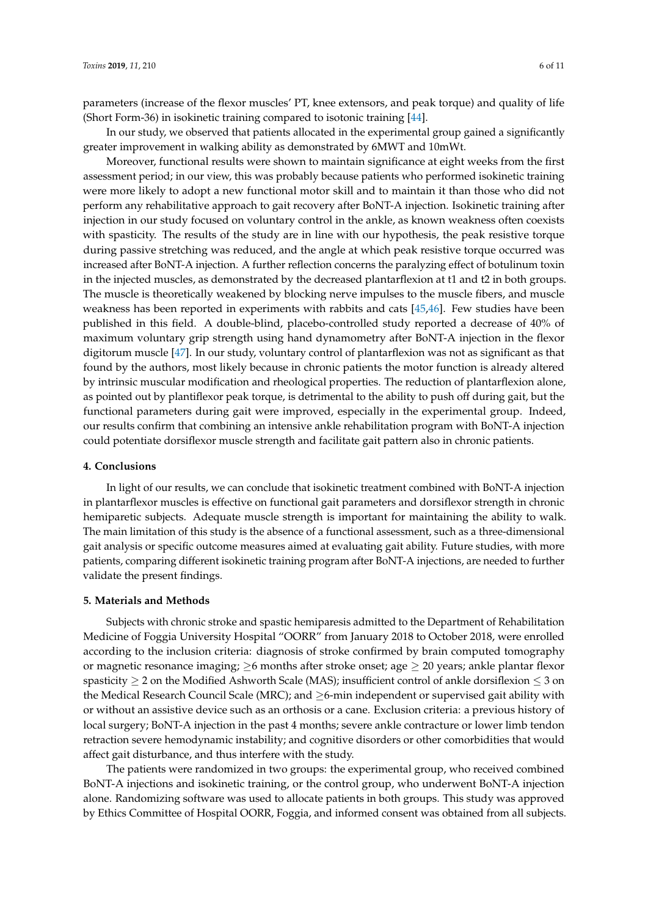parameters (increase of the flexor muscles' PT, knee extensors, and peak torque) and quality of life (Short Form-36) in isokinetic training compared to isotonic training [\[44\]](#page-9-11).

In our study, we observed that patients allocated in the experimental group gained a significantly greater improvement in walking ability as demonstrated by 6MWT and 10mWt.

Moreover, functional results were shown to maintain significance at eight weeks from the first assessment period; in our view, this was probably because patients who performed isokinetic training were more likely to adopt a new functional motor skill and to maintain it than those who did not perform any rehabilitative approach to gait recovery after BoNT-A injection. Isokinetic training after injection in our study focused on voluntary control in the ankle, as known weakness often coexists with spasticity. The results of the study are in line with our hypothesis, the peak resistive torque during passive stretching was reduced, and the angle at which peak resistive torque occurred was increased after BoNT-A injection. A further reflection concerns the paralyzing effect of botulinum toxin in the injected muscles, as demonstrated by the decreased plantarflexion at t1 and t2 in both groups. The muscle is theoretically weakened by blocking nerve impulses to the muscle fibers, and muscle weakness has been reported in experiments with rabbits and cats [\[45,](#page-9-12)[46\]](#page-9-13). Few studies have been published in this field. A double-blind, placebo-controlled study reported a decrease of 40% of maximum voluntary grip strength using hand dynamometry after BoNT-A injection in the flexor digitorum muscle [\[47\]](#page-9-14). In our study, voluntary control of plantarflexion was not as significant as that found by the authors, most likely because in chronic patients the motor function is already altered by intrinsic muscular modification and rheological properties. The reduction of plantarflexion alone, as pointed out by plantiflexor peak torque, is detrimental to the ability to push off during gait, but the functional parameters during gait were improved, especially in the experimental group. Indeed, our results confirm that combining an intensive ankle rehabilitation program with BoNT-A injection could potentiate dorsiflexor muscle strength and facilitate gait pattern also in chronic patients.

#### **4. Conclusions**

In light of our results, we can conclude that isokinetic treatment combined with BoNT-A injection in plantarflexor muscles is effective on functional gait parameters and dorsiflexor strength in chronic hemiparetic subjects. Adequate muscle strength is important for maintaining the ability to walk. The main limitation of this study is the absence of a functional assessment, such as a three-dimensional gait analysis or specific outcome measures aimed at evaluating gait ability. Future studies, with more patients, comparing different isokinetic training program after BoNT-A injections, are needed to further validate the present findings.

#### **5. Materials and Methods**

Subjects with chronic stroke and spastic hemiparesis admitted to the Department of Rehabilitation Medicine of Foggia University Hospital "OORR" from January 2018 to October 2018, were enrolled according to the inclusion criteria: diagnosis of stroke confirmed by brain computed tomography or magnetic resonance imaging;  $\geq$ 6 months after stroke onset; age  $\geq$  20 years; ankle plantar flexor spasticity  $\geq 2$  on the Modified Ashworth Scale (MAS); insufficient control of ankle dorsiflexion  $\leq 3$  on the Medical Research Council Scale (MRC); and  $\geq$ 6-min independent or supervised gait ability with or without an assistive device such as an orthosis or a cane. Exclusion criteria: a previous history of local surgery; BoNT-A injection in the past 4 months; severe ankle contracture or lower limb tendon retraction severe hemodynamic instability; and cognitive disorders or other comorbidities that would affect gait disturbance, and thus interfere with the study.

The patients were randomized in two groups: the experimental group, who received combined BoNT-A injections and isokinetic training, or the control group, who underwent BoNT-A injection alone. Randomizing software was used to allocate patients in both groups. This study was approved by Ethics Committee of Hospital OORR, Foggia, and informed consent was obtained from all subjects.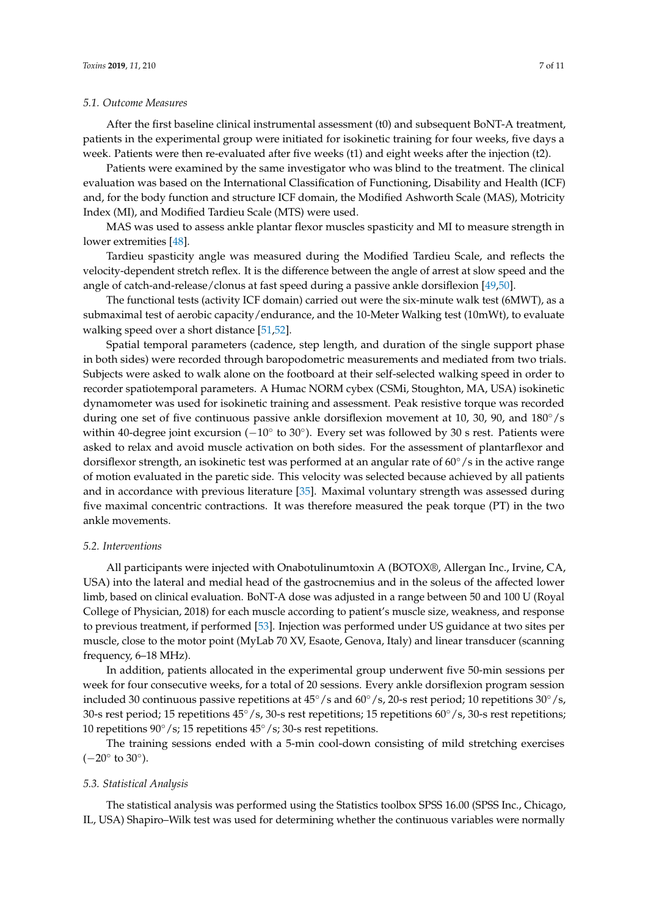#### *5.1. Outcome Measures*

After the first baseline clinical instrumental assessment (t0) and subsequent BoNT-A treatment, patients in the experimental group were initiated for isokinetic training for four weeks, five days a week. Patients were then re-evaluated after five weeks (t1) and eight weeks after the injection (t2).

Patients were examined by the same investigator who was blind to the treatment. The clinical evaluation was based on the International Classification of Functioning, Disability and Health (ICF) and, for the body function and structure ICF domain, the Modified Ashworth Scale (MAS), Motricity Index (MI), and Modified Tardieu Scale (MTS) were used.

MAS was used to assess ankle plantar flexor muscles spasticity and MI to measure strength in lower extremities [\[48\]](#page-9-15).

Tardieu spasticity angle was measured during the Modified Tardieu Scale, and reflects the velocity-dependent stretch reflex. It is the difference between the angle of arrest at slow speed and the angle of catch-and-release/clonus at fast speed during a passive ankle dorsiflexion [\[49](#page-9-16)[,50\]](#page-9-17).

The functional tests (activity ICF domain) carried out were the six-minute walk test (6MWT), as a submaximal test of aerobic capacity/endurance, and the 10-Meter Walking test (10mWt), to evaluate walking speed over a short distance [\[51](#page-9-18)[,52\]](#page-10-0).

Spatial temporal parameters (cadence, step length, and duration of the single support phase in both sides) were recorded through baropodometric measurements and mediated from two trials. Subjects were asked to walk alone on the footboard at their self-selected walking speed in order to recorder spatiotemporal parameters. A Humac NORM cybex (CSMi, Stoughton, MA, USA) isokinetic dynamometer was used for isokinetic training and assessment. Peak resistive torque was recorded during one set of five continuous passive ankle dorsiflexion movement at 10, 30, 90, and 180◦/s within 40-degree joint excursion (-10° to 30°). Every set was followed by 30 s rest. Patients were asked to relax and avoid muscle activation on both sides. For the assessment of plantarflexor and dorsiflexor strength, an isokinetic test was performed at an angular rate of  $60°/s$  in the active range of motion evaluated in the paretic side. This velocity was selected because achieved by all patients and in accordance with previous literature [\[35\]](#page-9-19). Maximal voluntary strength was assessed during five maximal concentric contractions. It was therefore measured the peak torque (PT) in the two ankle movements.

#### *5.2. Interventions*

All participants were injected with Onabotulinumtoxin A (BOTOX®, Allergan Inc., Irvine, CA, USA) into the lateral and medial head of the gastrocnemius and in the soleus of the affected lower limb, based on clinical evaluation. BoNT-A dose was adjusted in a range between 50 and 100 U (Royal College of Physician, 2018) for each muscle according to patient's muscle size, weakness, and response to previous treatment, if performed [\[53\]](#page-10-1). Injection was performed under US guidance at two sites per muscle, close to the motor point (MyLab 70 XV, Esaote, Genova, Italy) and linear transducer (scanning frequency, 6–18 MHz).

In addition, patients allocated in the experimental group underwent five 50-min sessions per week for four consecutive weeks, for a total of 20 sessions. Every ankle dorsiflexion program session included 30 continuous passive repetitions at 45◦/s and 60◦/s, 20-s rest period; 10 repetitions 30◦/s, 30-s rest period; 15 repetitions 45◦/s, 30-s rest repetitions; 15 repetitions 60◦/s, 30-s rest repetitions; 10 repetitions 90◦/s; 15 repetitions 45◦/s; 30-s rest repetitions.

The training sessions ended with a 5-min cool-down consisting of mild stretching exercises  $(-20^{\circ} \text{ to } 30^{\circ}).$ 

#### *5.3. Statistical Analysis*

The statistical analysis was performed using the Statistics toolbox SPSS 16.00 (SPSS Inc., Chicago, IL, USA) Shapiro–Wilk test was used for determining whether the continuous variables were normally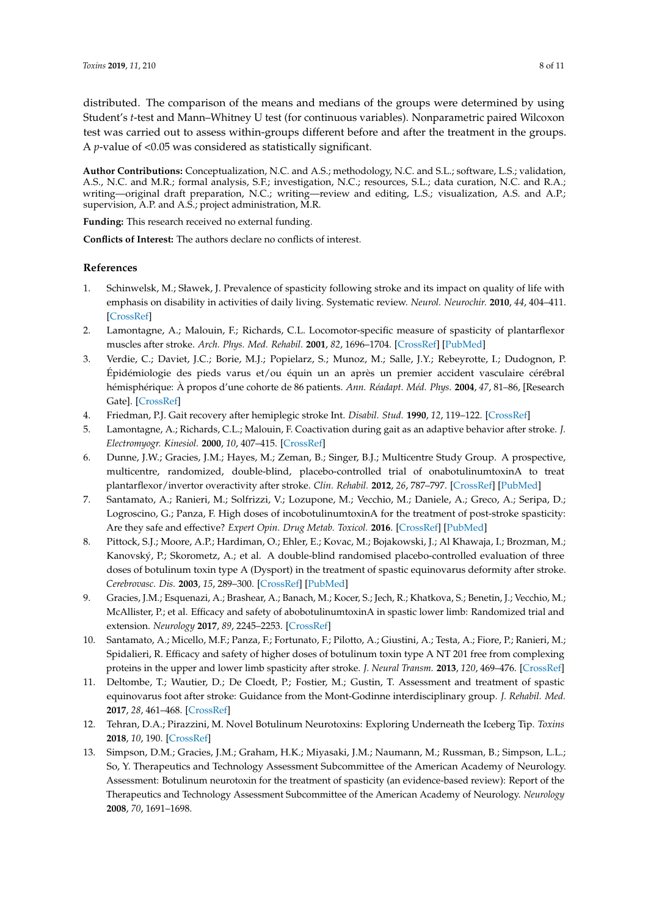distributed. The comparison of the means and medians of the groups were determined by using Student's *t*-test and Mann–Whitney U test (for continuous variables). Nonparametric paired Wilcoxon test was carried out to assess within-groups different before and after the treatment in the groups. A *p*-value of <0.05 was considered as statistically significant.

**Author Contributions:** Conceptualization, N.C. and A.S.; methodology, N.C. and S.L.; software, L.S.; validation, A.S., N.C. and M.R.; formal analysis, S.F.; investigation, N.C.; resources, S.L.; data curation, N.C. and R.A.; writing—original draft preparation, N.C.; writing—review and editing, L.S.; visualization, A.S. and A.P.; supervision, A.P. and A.S.; project administration, M.R.

**Funding:** This research received no external funding.

**Conflicts of Interest:** The authors declare no conflicts of interest.

## **References**

- <span id="page-7-0"></span>1. Schinwelsk, M.; Sławek, J. Prevalence of spasticity following stroke and its impact on quality of life with emphasis on disability in activities of daily living. Systematic review. *Neurol. Neurochir.* **2010**, *44*, 404–411. [\[CrossRef\]](http://dx.doi.org/10.1016/S0028-3843(14)60300-5)
- <span id="page-7-1"></span>2. Lamontagne, A.; Malouin, F.; Richards, C.L. Locomotor-specific measure of spasticity of plantarflexor muscles after stroke. *Arch. Phys. Med. Rehabil.* **2001**, *82*, 1696–1704. [\[CrossRef\]](http://dx.doi.org/10.1053/apmr.2001.26810) [\[PubMed\]](http://www.ncbi.nlm.nih.gov/pubmed/11733885)
- <span id="page-7-2"></span>3. Verdie, C.; Daviet, J.C.; Borie, M.J.; Popielarz, S.; Munoz, M.; Salle, J.Y.; Rebeyrotte, I.; Dudognon, P. Épidémiologie des pieds varus et/ou équin un an après un premier accident vasculaire cérébral hémisphérique: À propos d'une cohorte de 86 patients. *Ann. Réadapt. Méd. Phys.* **2004**, *47*, 81–86, [Research Gate]. [\[CrossRef\]](http://dx.doi.org/10.1016/j.annrmp.2003.10.005)
- <span id="page-7-3"></span>4. Friedman, P.J. Gait recovery after hemiplegic stroke Int. *Disabil. Stud.* **1990**, *12*, 119–122. [\[CrossRef\]](http://dx.doi.org/10.3109/03790799009166265)
- <span id="page-7-4"></span>5. Lamontagne, A.; Richards, C.L.; Malouin, F. Coactivation during gait as an adaptive behavior after stroke. *J. Electromyogr. Kinesiol.* **2000**, *10*, 407–415. [\[CrossRef\]](http://dx.doi.org/10.1016/S1050-6411(00)00028-6)
- <span id="page-7-5"></span>6. Dunne, J.W.; Gracies, J.M.; Hayes, M.; Zeman, B.; Singer, B.J.; Multicentre Study Group. A prospective, multicentre, randomized, double-blind, placebo-controlled trial of onabotulinumtoxinA to treat plantarflexor/invertor overactivity after stroke. *Clin. Rehabil.* **2012**, *26*, 787–797. [\[CrossRef\]](http://dx.doi.org/10.1177/0269215511432016) [\[PubMed\]](http://www.ncbi.nlm.nih.gov/pubmed/22308557)
- 7. Santamato, A.; Ranieri, M.; Solfrizzi, V.; Lozupone, M.; Vecchio, M.; Daniele, A.; Greco, A.; Seripa, D.; Logroscino, G.; Panza, F. High doses of incobotulinumtoxinA for the treatment of post-stroke spasticity: Are they safe and effective? *Expert Opin. Drug Metab. Toxicol.* **2016**. [\[CrossRef\]](http://dx.doi.org/10.1080/17425255.2016.1198318) [\[PubMed\]](http://www.ncbi.nlm.nih.gov/pubmed/27291256)
- 8. Pittock, S.J.; Moore, A.P.; Hardiman, O.; Ehler, E.; Kovac, M.; Bojakowski, J.; Al Khawaja, I.; Brozman, M.; Kanovský, P.; Skorometz, A.; et al. A double-blind randomised placebo-controlled evaluation of three doses of botulinum toxin type A (Dysport) in the treatment of spastic equinovarus deformity after stroke. *Cerebrovasc. Dis.* **2003**, *15*, 289–300. [\[CrossRef\]](http://dx.doi.org/10.1159/000069495) [\[PubMed\]](http://www.ncbi.nlm.nih.gov/pubmed/12686794)
- 9. Gracies, J.M.; Esquenazi, A.; Brashear, A.; Banach, M.; Kocer, S.; Jech, R.; Khatkova, S.; Benetin, J.; Vecchio, M.; McAllister, P.; et al. Efficacy and safety of abobotulinumtoxinA in spastic lower limb: Randomized trial and extension. *Neurology* **2017**, *89*, 2245–2253. [\[CrossRef\]](http://dx.doi.org/10.1212/WNL.0000000000004687)
- 10. Santamato, A.; Micello, M.F.; Panza, F.; Fortunato, F.; Pilotto, A.; Giustini, A.; Testa, A.; Fiore, P.; Ranieri, M.; Spidalieri, R. Efficacy and safety of higher doses of botulinum toxin type A NT 201 free from complexing proteins in the upper and lower limb spasticity after stroke. *J. Neural Transm.* **2013**, *120*, 469–476. [\[CrossRef\]](http://dx.doi.org/10.1007/s00702-012-0892-x)
- <span id="page-7-6"></span>11. Deltombe, T.; Wautier, D.; De Cloedt, P.; Fostier, M.; Gustin, T. Assessment and treatment of spastic equinovarus foot after stroke: Guidance from the Mont-Godinne interdisciplinary group. *J. Rehabil. Med.* **2017**, *28*, 461–468. [\[CrossRef\]](http://dx.doi.org/10.2340/16501977-2226)
- <span id="page-7-7"></span>12. Tehran, D.A.; Pirazzini, M. Novel Botulinum Neurotoxins: Exploring Underneath the Iceberg Tip. *Toxins* **2018**, *10*, 190. [\[CrossRef\]](http://dx.doi.org/10.3390/toxins10050190)
- <span id="page-7-8"></span>13. Simpson, D.M.; Gracies, J.M.; Graham, H.K.; Miyasaki, J.M.; Naumann, M.; Russman, B.; Simpson, L.L.; So, Y. Therapeutics and Technology Assessment Subcommittee of the American Academy of Neurology. Assessment: Botulinum neurotoxin for the treatment of spasticity (an evidence-based review): Report of the Therapeutics and Technology Assessment Subcommittee of the American Academy of Neurology. *Neurology* **2008**, *70*, 1691–1698.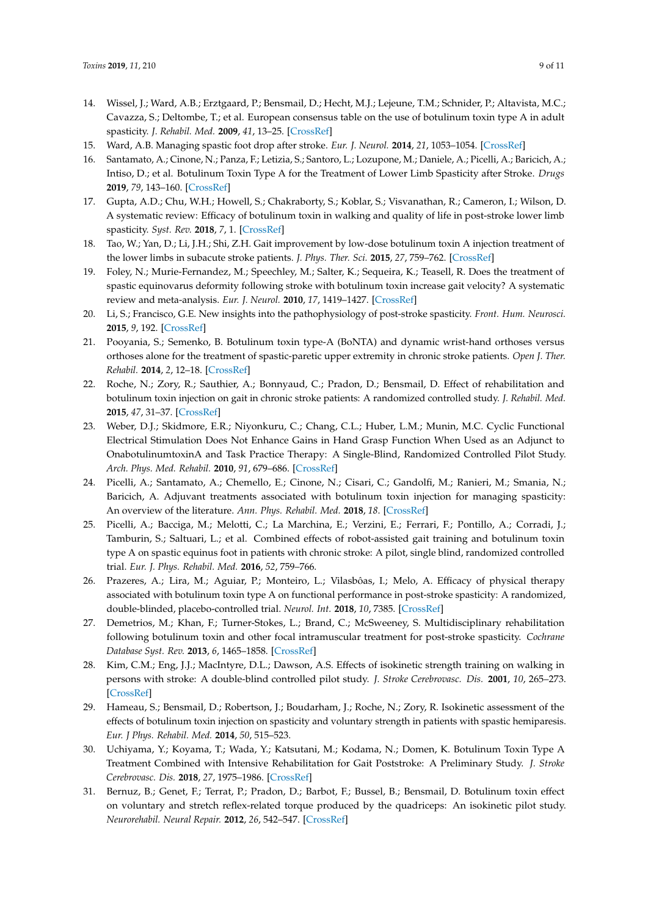- <span id="page-8-0"></span>14. Wissel, J.; Ward, A.B.; Erztgaard, P.; Bensmail, D.; Hecht, M.J.; Lejeune, T.M.; Schnider, P.; Altavista, M.C.; Cavazza, S.; Deltombe, T.; et al. European consensus table on the use of botulinum toxin type A in adult spasticity. *J. Rehabil. Med.* **2009**, *41*, 13–25. [\[CrossRef\]](http://dx.doi.org/10.2340/16501977-0303)
- <span id="page-8-1"></span>15. Ward, A.B. Managing spastic foot drop after stroke. *Eur. J. Neurol.* **2014**, *21*, 1053–1054. [\[CrossRef\]](http://dx.doi.org/10.1111/ene.12404)
- <span id="page-8-2"></span>16. Santamato, A.; Cinone, N.; Panza, F.; Letizia, S.; Santoro, L.; Lozupone, M.; Daniele, A.; Picelli, A.; Baricich, A.; Intiso, D.; et al. Botulinum Toxin Type A for the Treatment of Lower Limb Spasticity after Stroke. *Drugs* **2019**, *79*, 143–160. [\[CrossRef\]](http://dx.doi.org/10.1007/s40265-018-1042-z)
- <span id="page-8-3"></span>17. Gupta, A.D.; Chu, W.H.; Howell, S.; Chakraborty, S.; Koblar, S.; Visvanathan, R.; Cameron, I.; Wilson, D. A systematic review: Efficacy of botulinum toxin in walking and quality of life in post-stroke lower limb spasticity. *Syst. Rev.* **2018**, *7*, 1. [\[CrossRef\]](http://dx.doi.org/10.1186/s13643-017-0670-9)
- <span id="page-8-14"></span>18. Tao, W.; Yan, D.; Li, J.H.; Shi, Z.H. Gait improvement by low-dose botulinum toxin A injection treatment of the lower limbs in subacute stroke patients. *J. Phys. Ther. Sci.* **2015**, *27*, 759–762. [\[CrossRef\]](http://dx.doi.org/10.1589/jpts.27.759)
- <span id="page-8-4"></span>19. Foley, N.; Murie-Fernandez, M.; Speechley, M.; Salter, K.; Sequeira, K.; Teasell, R. Does the treatment of spastic equinovarus deformity following stroke with botulinum toxin increase gait velocity? A systematic review and meta-analysis. *Eur. J. Neurol.* **2010**, *17*, 1419–1427. [\[CrossRef\]](http://dx.doi.org/10.1111/j.1468-1331.2010.03084.x)
- <span id="page-8-5"></span>20. Li, S.; Francisco, G.E. New insights into the pathophysiology of post-stroke spasticity. *Front. Hum. Neurosci.* **2015**, *9*, 192. [\[CrossRef\]](http://dx.doi.org/10.3389/fnhum.2015.00192)
- <span id="page-8-6"></span>21. Pooyania, S.; Semenko, B. Botulinum toxin type-A (BoNTA) and dynamic wrist-hand orthoses versus orthoses alone for the treatment of spastic-paretic upper extremity in chronic stroke patients. *Open J. Ther. Rehabil.* **2014**, *2*, 12–18. [\[CrossRef\]](http://dx.doi.org/10.4236/ojtr.2014.21003)
- <span id="page-8-7"></span>22. Roche, N.; Zory, R.; Sauthier, A.; Bonnyaud, C.; Pradon, D.; Bensmail, D. Effect of rehabilitation and botulinum toxin injection on gait in chronic stroke patients: A randomized controlled study. *J. Rehabil. Med.* **2015**, *47*, 31–37. [\[CrossRef\]](http://dx.doi.org/10.2340/16501977-1887)
- <span id="page-8-8"></span>23. Weber, D.J.; Skidmore, E.R.; Niyonkuru, C.; Chang, C.L.; Huber, L.M.; Munin, M.C. Cyclic Functional Electrical Stimulation Does Not Enhance Gains in Hand Grasp Function When Used as an Adjunct to OnabotulinumtoxinA and Task Practice Therapy: A Single-Blind, Randomized Controlled Pilot Study. *Arch. Phys. Med. Rehabil.* **2010**, *91*, 679–686. [\[CrossRef\]](http://dx.doi.org/10.1016/j.apmr.2010.01.010)
- 24. Picelli, A.; Santamato, A.; Chemello, E.; Cinone, N.; Cisari, C.; Gandolfi, M.; Ranieri, M.; Smania, N.; Baricich, A. Adjuvant treatments associated with botulinum toxin injection for managing spasticity: An overview of the literature. *Ann. Phys. Rehabil. Med.* **2018**, *18*. [\[CrossRef\]](http://dx.doi.org/10.1016/j.rehab.2018.08.004)
- <span id="page-8-15"></span>25. Picelli, A.; Bacciga, M.; Melotti, C.; La Marchina, E.; Verzini, E.; Ferrari, F.; Pontillo, A.; Corradi, J.; Tamburin, S.; Saltuari, L.; et al. Combined effects of robot-assisted gait training and botulinum toxin type A on spastic equinus foot in patients with chronic stroke: A pilot, single blind, randomized controlled trial. *Eur. J. Phys. Rehabil. Med.* **2016**, *52*, 759–766.
- 26. Prazeres, A.; Lira, M.; Aguiar, P.; Monteiro, L.; Vilasbôas, I.; Melo, A. Efficacy of physical therapy associated with botulinum toxin type A on functional performance in post-stroke spasticity: A randomized, double-blinded, placebo-controlled trial. *Neurol. Int.* **2018**, *10*, 7385. [\[CrossRef\]](http://dx.doi.org/10.4081/ni.2018.7385)
- <span id="page-8-9"></span>27. Demetrios, M.; Khan, F.; Turner-Stokes, L.; Brand, C.; McSweeney, S. Multidisciplinary rehabilitation following botulinum toxin and other focal intramuscular treatment for post-stroke spasticity. *Cochrane Database Syst. Rev.* **2013**, *6*, 1465–1858. [\[CrossRef\]](http://dx.doi.org/10.1002/14651858.CD009689.pub2)
- <span id="page-8-10"></span>28. Kim, C.M.; Eng, J.J.; MacIntyre, D.L.; Dawson, A.S. Effects of isokinetic strength training on walking in persons with stroke: A double-blind controlled pilot study. *J. Stroke Cerebrovasc. Dis.* **2001**, *10*, 265–273. [\[CrossRef\]](http://dx.doi.org/10.1053/jscd.2001.123775)
- <span id="page-8-11"></span>29. Hameau, S.; Bensmail, D.; Robertson, J.; Boudarham, J.; Roche, N.; Zory, R. Isokinetic assessment of the effects of botulinum toxin injection on spasticity and voluntary strength in patients with spastic hemiparesis. *Eur. J Phys. Rehabil. Med.* **2014**, *50*, 515–523.
- <span id="page-8-12"></span>30. Uchiyama, Y.; Koyama, T.; Wada, Y.; Katsutani, M.; Kodama, N.; Domen, K. Botulinum Toxin Type A Treatment Combined with Intensive Rehabilitation for Gait Poststroke: A Preliminary Study. *J. Stroke Cerebrovasc. Dis.* **2018**, *27*, 1975–1986. [\[CrossRef\]](http://dx.doi.org/10.1016/j.jstrokecerebrovasdis.2018.02.054)
- <span id="page-8-13"></span>31. Bernuz, B.; Genet, F.; Terrat, P.; Pradon, D.; Barbot, F.; Bussel, B.; Bensmail, D. Botulinum toxin effect on voluntary and stretch reflex-related torque produced by the quadriceps: An isokinetic pilot study. *Neurorehabil. Neural Repair.* **2012**, *26*, 542–547. [\[CrossRef\]](http://dx.doi.org/10.1177/1545968311423668)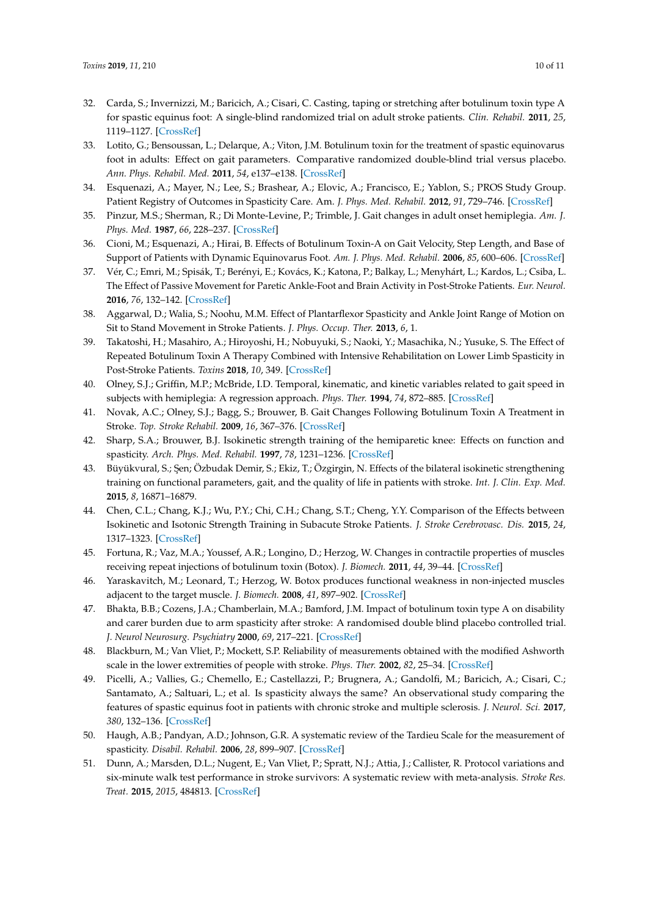- <span id="page-9-0"></span>32. Carda, S.; Invernizzi, M.; Baricich, A.; Cisari, C. Casting, taping or stretching after botulinum toxin type A for spastic equinus foot: A single-blind randomized trial on adult stroke patients. *Clin. Rehabil.* **2011**, *25*, 1119–1127. [\[CrossRef\]](http://dx.doi.org/10.1177/0269215511405080)
- <span id="page-9-1"></span>33. Lotito, G.; Bensoussan, L.; Delarque, A.; Viton, J.M. Botulinum toxin for the treatment of spastic equinovarus foot in adults: Effect on gait parameters. Comparative randomized double-blind trial versus placebo. *Ann. Phys. Rehabil. Med.* **2011**, *54*, e137–e138. [\[CrossRef\]](http://dx.doi.org/10.1016/j.rehab.2011.07.567)
- <span id="page-9-2"></span>34. Esquenazi, A.; Mayer, N.; Lee, S.; Brashear, A.; Elovic, A.; Francisco, E.; Yablon, S.; PROS Study Group. Patient Registry of Outcomes in Spasticity Care. Am. *J. Phys. Med. Rehabil.* **2012**, *91*, 729–746. [\[CrossRef\]](http://dx.doi.org/10.1097/PHM.0b013e31824fa9ca)
- <span id="page-9-19"></span>35. Pinzur, M.S.; Sherman, R.; Di Monte-Levine, P.; Trimble, J. Gait changes in adult onset hemiplegia. *Am. J. Phys. Med.* **1987**, *66*, 228–237. [\[CrossRef\]](http://dx.doi.org/10.1097/00002060-198710000-00003)
- <span id="page-9-3"></span>36. Cioni, M.; Esquenazi, A.; Hirai, B. Effects of Botulinum Toxin-A on Gait Velocity, Step Length, and Base of Support of Patients with Dynamic Equinovarus Foot. *Am. J. Phys. Med. Rehabil.* **2006**, *85*, 600–606. [\[CrossRef\]](http://dx.doi.org/10.1097/01.phm.0000223216.50068.bc)
- <span id="page-9-4"></span>37. Vér, C.; Emri, M.; Spisák, T.; Berényi, E.; Kovács, K.; Katona, P.; Balkay, L.; Menyhárt, L.; Kardos, L.; Csiba, L. The Effect of Passive Movement for Paretic Ankle-Foot and Brain Activity in Post-Stroke Patients. *Eur. Neurol.* **2016**, *76*, 132–142. [\[CrossRef\]](http://dx.doi.org/10.1159/000448033)
- <span id="page-9-5"></span>38. Aggarwal, D.; Walia, S.; Noohu, M.M. Effect of Plantarflexor Spasticity and Ankle Joint Range of Motion on Sit to Stand Movement in Stroke Patients. *J. Phys. Occup. Ther.* **2013**, *6*, 1.
- <span id="page-9-6"></span>39. Takatoshi, H.; Masahiro, A.; Hiroyoshi, H.; Nobuyuki, S.; Naoki, Y.; Masachika, N.; Yusuke, S. The Effect of Repeated Botulinum Toxin A Therapy Combined with Intensive Rehabilitation on Lower Limb Spasticity in Post-Stroke Patients. *Toxins* **2018**, *10*, 349. [\[CrossRef\]](http://dx.doi.org/10.3390/toxins10090349)
- <span id="page-9-7"></span>40. Olney, S.J.; Griffin, M.P.; McBride, I.D. Temporal, kinematic, and kinetic variables related to gait speed in subjects with hemiplegia: A regression approach. *Phys. Ther.* **1994**, *74*, 872–885. [\[CrossRef\]](http://dx.doi.org/10.1093/ptj/74.9.872)
- <span id="page-9-8"></span>41. Novak, A.C.; Olney, S.J.; Bagg, S.; Brouwer, B. Gait Changes Following Botulinum Toxin A Treatment in Stroke. *Top. Stroke Rehabil.* **2009**, *16*, 367–376. [\[CrossRef\]](http://dx.doi.org/10.1310/tsr1605-367)
- <span id="page-9-9"></span>42. Sharp, S.A.; Brouwer, B.J. Isokinetic strength training of the hemiparetic knee: Effects on function and spasticity. *Arch. Phys. Med. Rehabil.* **1997**, *78*, 1231–1236. [\[CrossRef\]](http://dx.doi.org/10.1016/S0003-9993(97)90337-3)
- <span id="page-9-10"></span>43. Büyükvural, S.; Şen; Özbudak Demir, S.; Ekiz, T.; Özgirgin, N. Effects of the bilateral isokinetic strengthening training on functional parameters, gait, and the quality of life in patients with stroke. *Int. J. Clin. Exp. Med.* **2015**, *8*, 16871–16879.
- <span id="page-9-11"></span>44. Chen, C.L.; Chang, K.J.; Wu, P.Y.; Chi, C.H.; Chang, S.T.; Cheng, Y.Y. Comparison of the Effects between Isokinetic and Isotonic Strength Training in Subacute Stroke Patients. *J. Stroke Cerebrovasc. Dis.* **2015**, *24*, 1317–1323. [\[CrossRef\]](http://dx.doi.org/10.1016/j.jstrokecerebrovasdis.2015.02.002)
- <span id="page-9-12"></span>45. Fortuna, R.; Vaz, M.A.; Youssef, A.R.; Longino, D.; Herzog, W. Changes in contractile properties of muscles receiving repeat injections of botulinum toxin (Botox). *J. Biomech.* **2011**, *44*, 39–44. [\[CrossRef\]](http://dx.doi.org/10.1016/j.jbiomech.2010.08.020)
- <span id="page-9-13"></span>46. Yaraskavitch, M.; Leonard, T.; Herzog, W. Botox produces functional weakness in non-injected muscles adjacent to the target muscle. *J. Biomech.* **2008**, *41*, 897–902. [\[CrossRef\]](http://dx.doi.org/10.1016/j.jbiomech.2007.11.016)
- <span id="page-9-14"></span>47. Bhakta, B.B.; Cozens, J.A.; Chamberlain, M.A.; Bamford, J.M. Impact of botulinum toxin type A on disability and carer burden due to arm spasticity after stroke: A randomised double blind placebo controlled trial. *J. Neurol Neurosurg. Psychiatry* **2000**, *69*, 217–221. [\[CrossRef\]](http://dx.doi.org/10.1136/jnnp.69.2.217)
- <span id="page-9-15"></span>48. Blackburn, M.; Van Vliet, P.; Mockett, S.P. Reliability of measurements obtained with the modified Ashworth scale in the lower extremities of people with stroke. *Phys. Ther.* **2002**, *82*, 25–34. [\[CrossRef\]](http://dx.doi.org/10.1093/ptj/82.1.25)
- <span id="page-9-16"></span>49. Picelli, A.; Vallies, G.; Chemello, E.; Castellazzi, P.; Brugnera, A.; Gandolfi, M.; Baricich, A.; Cisari, C.; Santamato, A.; Saltuari, L.; et al. Is spasticity always the same? An observational study comparing the features of spastic equinus foot in patients with chronic stroke and multiple sclerosis. *J. Neurol. Sci.* **2017**, *380*, 132–136. [\[CrossRef\]](http://dx.doi.org/10.1016/j.jns.2017.07.026)
- <span id="page-9-17"></span>50. Haugh, A.B.; Pandyan, A.D.; Johnson, G.R. A systematic review of the Tardieu Scale for the measurement of spasticity. *Disabil. Rehabil.* **2006**, *28*, 899–907. [\[CrossRef\]](http://dx.doi.org/10.1080/09638280500404305)
- <span id="page-9-18"></span>51. Dunn, A.; Marsden, D.L.; Nugent, E.; Van Vliet, P.; Spratt, N.J.; Attia, J.; Callister, R. Protocol variations and six-minute walk test performance in stroke survivors: A systematic review with meta-analysis. *Stroke Res. Treat.* **2015**, *2015*, 484813. [\[CrossRef\]](http://dx.doi.org/10.1155/2015/484813)